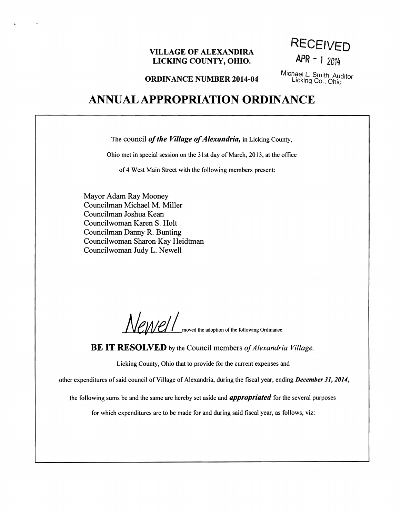### **VILLAGE OF ALEXANDIRA LICKING COUNTY, OHIO. APR** - 1 *<sup>2014</sup>*

**RECEIVED** 

**ORDINANCE NUMBER 2014-04** Michael L. Smith, Auditor **ORDINANCE NUMBER 2014-04** Licking Co., Ohio

# **ANNUAL APPROPRIATION ORDINANCE**

The council *of the Village of Alexandria*, in Licking County,

Ohio met in special session on the 31st day of March, 2013, at the office

of 4 West Main Street with the following members present:

Mayor Adam Ray Mooney Councilman Michael M. Miller Councilman Joshua Kean Councilwoman Karen S. Holt Councilman Danny R. Bunting Councilwoman Sharon Kay Heidtman Councilwoman Judy L. Newell

 $\bullet$ 

Newlet I moved the adoption of the following Ordinance:

**BE IT RESOLVED** by the Council members of Alexandria Village,

Licking County, Ohio that to provide for the current expenses and

other expenditures of said council of Village of Alexandria, during the fiscal year, ending *December 31, 2014*,

the following sums be and the same are hereby set aside and *appropriated* for the several purposes

for which expenditures are to be made for and during said fiscal year, as follows, viz: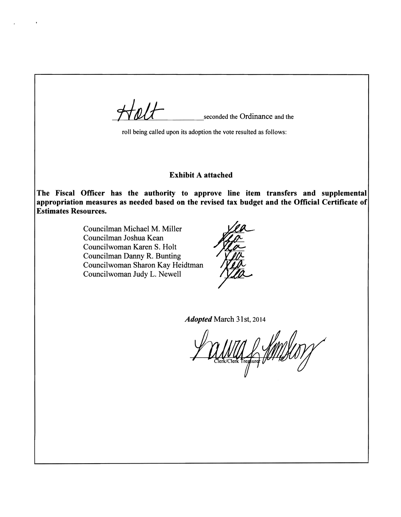seconded the Ordinance and the roll being called upon its adoption the vote resulted as follows: Exhibit A attached The Fiscal Officer has the authority to approve line item transfers and supplemental appropriation measures as needed based on the revised tax budget and the Official Certificate of Estimates Resources. Councilman Michael M. Miller Councilman Joshua Kean Councilwoman Karen S. Holt Councilman Danny R. Bunting Councilwoman Sharon Kay Heidtman Councilwoman Judy L. Newell *Adopted* March 31st, 2014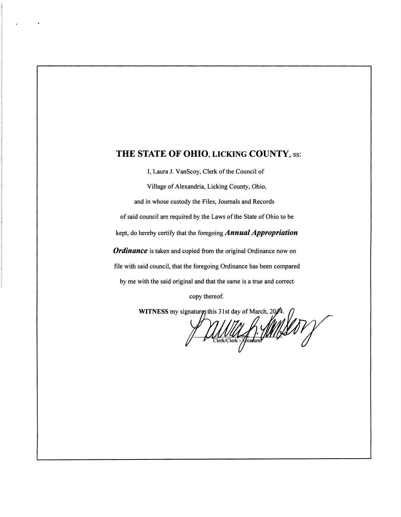### **THE STATE OF OHIO, LICKING COUNTY,** ss:

I, Laura J. VanScoy, Clerk of the Council of

Village of Alexandria, Licking County, Ohio,

and in whose custody the Files, Journals and Records

of said council are required by the Laws of the State of Ohio to be

kept, do hereby certify that the foregoing *Annual Appropriation* 

*Ordinance* is taken and copied from the original Ordinance now on

file with said council, that the foregoing Ordinance has been compared

by me with the said original and that the same is a true and correct

copy thereof.

**WITNESS** my signaturg this 31st day of March, 20/4.

<u>UNULLA MINIS</u>